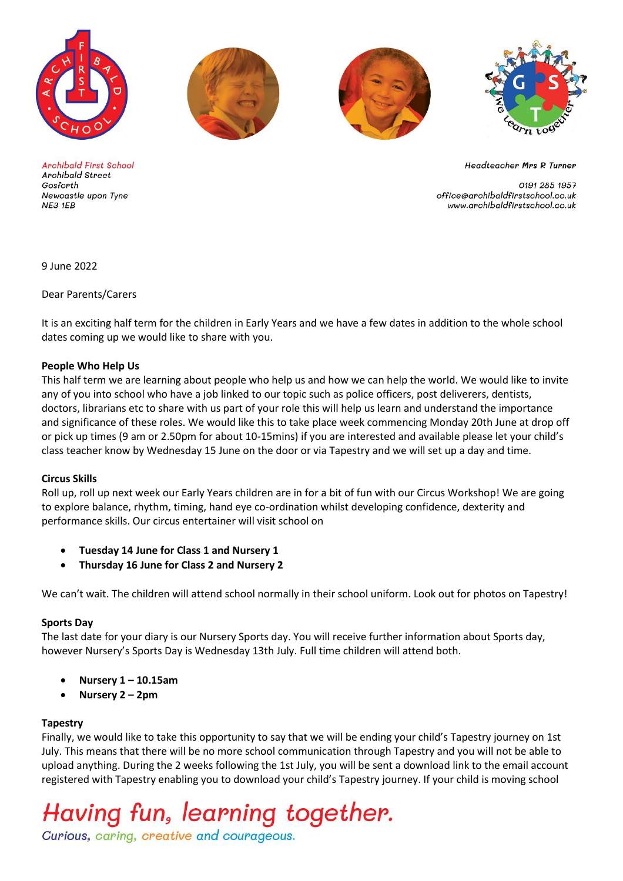







**Archibald First School Archibald Street** Gosforth Newcastle upon Tyne NE3 1EB

**Headteacher Mrs R Turner** 

0191 285 1957 office@archibaldfirstschool.co.uk www.archibaldfirstschool.co.uk

9 June 2022

Dear Parents/Carers

It is an exciting half term for the children in Early Years and we have a few dates in addition to the whole school dates coming up we would like to share with you.

#### **People Who Help Us**

This half term we are learning about people who help us and how we can help the world. We would like to invite any of you into school who have a job linked to our topic such as police officers, post deliverers, dentists, doctors, librarians etc to share with us part of your role this will help us learn and understand the importance and significance of these roles. We would like this to take place week commencing Monday 20th June at drop off or pick up times (9 am or 2.50pm for about 10-15mins) if you are interested and available please let your child's class teacher know by Wednesday 15 June on the door or via Tapestry and we will set up a day and time.

#### **Circus Skills**

Roll up, roll up next week our Early Years children are in for a bit of fun with our Circus Workshop! We are going to explore balance, rhythm, timing, hand eye co-ordination whilst developing confidence, dexterity and performance skills. Our circus entertainer will visit school on

- **Tuesday 14 June for Class 1 and Nursery 1**
- **Thursday 16 June for Class 2 and Nursery 2**

We can't wait. The children will attend school normally in their school uniform. Look out for photos on Tapestry!

### **Sports Day**

The last date for your diary is our Nursery Sports day. You will receive further information about Sports day, however Nursery's Sports Day is Wednesday 13th July. Full time children will attend both.

- **Nursery 1 – 10.15am**
- **Nursery 2 – 2pm**

### **Tapestry**

Finally, we would like to take this opportunity to say that we will be ending your child's Tapestry journey on 1st July. This means that there will be no more school communication through Tapestry and you will not be able to upload anything. During the 2 weeks following the 1st July, you will be sent a download link to the email account registered with Tapestry enabling you to download your child's Tapestry journey. If your child is moving school

# Having fun, learning together.

Curious, caring, creative and courageous.